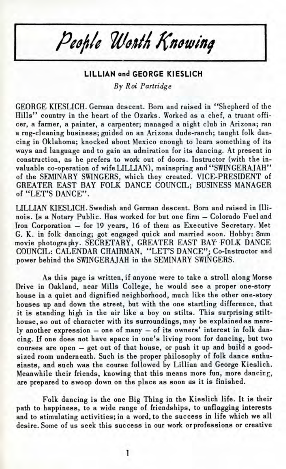People Worth Knowing

## **LILLIAN and GEORGE KIESLICH** *By Roi Partridge*

GEORGE KIESLICH. German descent. Born and raised in "Shepherd of the Hills" country in the heart of the Ozarks. Worked as a chef, a truant officer, a farmer, a painter, a carpenter; managed a night club in Arizona; ran a rug-cleaning business; guided on an Arizona dude-ranch; taught folk dancing in Oklahoma; knocked about Mexico enough to learn something of its ways and language and to gain an admiration for its dancing. At present in construction, as he prefers to work out of doors. Instructor (with the invaluable co-operation of wife LILLIAN), mainspring and "SWINGERAJAH" of the SEMINARY SWINGERS, which they created. VICE-PRESIDENT of GREATER EAST BAY FOLK DANCE COUNCIL; BUSINESS MANAGER of "LET'S DANCE".

LILLIAN KIESLICH. Swedish and German descent. Born and raised in Illinois. Is a Notary Public. Has worked for but one firm — Colorado Fuel and Iron Corporation — for 19 years, 16 of them as Executive Secretary. Met G. K. in folk dancing; got engaged quick and married soon. Hobby: 8mm movie photography. SECRETARY, GREATER EAST BAY FOLK DANCE COUNCIL: CALENDAR CHAIRMAN, "LET'S DANCE"; Co-Instructor and power behind the SWINGERAJAH in the SEMINARY SWINGERS.

As this page is written, if anyone were to take a stroll along Morse Drive in Oakland, near Mills College, he would see a proper one-story house in a quiet and dignified neighborhood, much like the other one-story houses up and down the street, but with the one startling difference, that it is standing high in the air like a boy on stilts. This surprising stilthouse, so out of character with its surroundings, may be explained as merely another expression — one of many *—* of its owners' interest in folk dancing. If one does not have space in one's living room for dancing, but two courses are open — get out of that house, or push it up and build a goodsized room underneath. Such is the proper philosophy of folk dance enthusiasts, and such was the course followed by Lillian and George Kieslich. Meanwhile their friends, knowing that this means more fun, more dancing, are prepared to swoop down on the place as soon as it is finished.

Folk dancing is the one Big Thing in the Kieslich life. It is their path to happiness, to a wide range of friendships, to unflagging interests and to stimulating activities; in a word, to the success in life which we all desire. Some of us seek this success in our work orprofessions or creative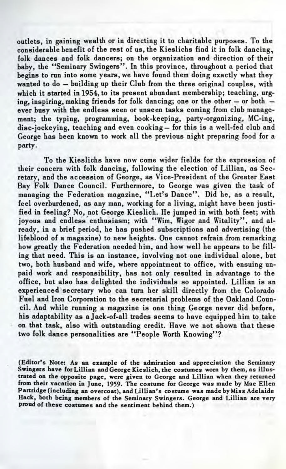outlets, in gaining wealth or in directing it to charitable purposes. To the considerable benefit of the rest of us, the Kieslichs find it in folk dancing, folk dances and folk dancers; on the organization and direction of their baby, the "Seminary Swingers". In this province, throughout a period that begins to run into some years, we have found them doing exactly what they wanted to do — building up their Club from the three original couples, with which it started in 1954, to its present abundant membership; teaching, urging, inspiring, making friends for folk dancing; one or the other — or both ever busy with the endless seen or unseen tasks coming from club management; the typing, programming, book-keeping, party-organizing, MC-ing, disc-jockeying, teaching and even cooking— for this is a well-fed club and George has been known to work all the previous night preparing food for a party.

To the Kieslichs have now come wider fields for the expression of their concern with folk dancing, following the election of Lillian, as Secretary, and the accession of George, as Vice-President of the Greater East Bay Folk Dance Council. Furthermore, to George was given the task of managing the Federation magazine, "Let's Dance". Did he, as a result, feel overburdened, as any man, working for a living, might have been justified in feeling? No, not George Kieslich. He jumped in with both feet; with joyous and endless enthusiasm; with "Wim, Wigor and Witality", and already, in a brief period, he has pushed subscriptions and advertising (the lifeblood of a magazine) to new heights. One cannot refrain from remarking how greatly the Federation needed him, and how well he appears to be filling that need. This is an instance, involving not one individual alone, but two, both husband and wife, where appointment to office, with ensuing unpaid work and responsibility, has not only resulted in advantage to the office, but also has delighted the individuals so appointed. Lillian is an experienced'secretary who can turn her skill directly from the Colorado Fuel and Iron Corporation to the secretarial problems of the Oakland Council. And while running a magazine is one thing George never did before, his adaptability as a Jack-of-all trades seems to have equipped him to take on that task, also with outstanding credit. Have we not shown that these two folk dance personalities are "People Worth Knowing"?

(Editor's Note: As an example of the admiration and appreciation the Seminary Swingers have for Lillian and George Kieslich, the costumes worn by them, as illustrated on the opposite page, were given to George and Lillian when they returned from their vacation in June, 1959. The costume for George was made by Mae Ellen Partridge (including an overcoat), and Lillian's costume was made by Miss Adelaide Hack, both being members of the Seminary Swingers. George and Lillian are very proud of these costumes and the sentiment behind them.)